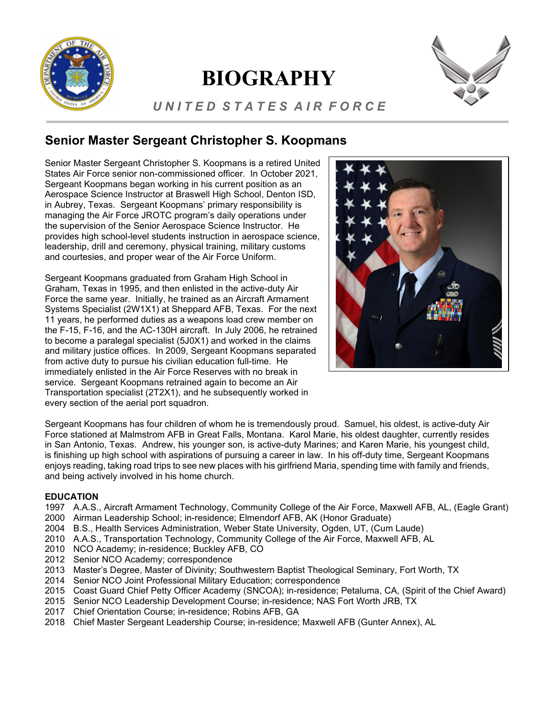

# **BIOGRAPHY**



## *U N I T E D S T A T E S A I R F O R C E*

# **Senior Master Sergeant Christopher S. Koopmans**

Senior Master Sergeant Christopher S. Koopmans is a retired United States Air Force senior non-commissioned officer. In October 2021, Sergeant Koopmans began working in his current position as an Aerospace Science Instructor at Braswell High School, Denton ISD, in Aubrey, Texas. Sergeant Koopmans' primary responsibility is managing the Air Force JROTC program's daily operations under the supervision of the Senior Aerospace Science Instructor. He provides high school-level students instruction in aerospace science, leadership, drill and ceremony, physical training, military customs and courtesies, and proper wear of the Air Force Uniform.

Sergeant Koopmans graduated from Graham High School in Graham, Texas in 1995, and then enlisted in the active-duty Air Force the same year. Initially, he trained as an Aircraft Armament Systems Specialist (2W1X1) at Sheppard AFB, Texas. For the next 11 years, he performed duties as a weapons load crew member on the F-15, F-16, and the AC-130H aircraft. In July 2006, he retrained to become a paralegal specialist (5J0X1) and worked in the claims and military justice offices. In 2009, Sergeant Koopmans separated from active duty to pursue his civilian education full-time. He immediately enlisted in the Air Force Reserves with no break in service. Sergeant Koopmans retrained again to become an Air Transportation specialist (2T2X1), and he subsequently worked in every section of the aerial port squadron.



Sergeant Koopmans has four children of whom he is tremendously proud. Samuel, his oldest, is active-duty Air Sergeant Koopmans has four children of whom he is tremendously proud. Samuel, his oldest, is active-duty Air<br>Force stationed at Malmstrom AFB in Great Falls, Montana. Karol Marie, his oldest daughter, currently resides in San Antonio, Texas. Andrew, his younger son, is active-duty Marines; and Karen Marie, his youngest child, is finishing up high school with aspirations of pursuing a career in law. In his off-duty time, Sergeant Koopmans enjoys reading, taking road trips to see new places with his girlfriend Maria, spending time with family and friends,  and being actively involved in his home church.

#### **EDUCATION**

- 1997 A.A.S., Aircraft Armament Technology, Community College of the Air Force, Maxwell AFB, AL, (Eagle Grant)
- 2000 Airman Leadership School; in-residence; Elmendorf AFB, AK (Honor Graduate)
- 2004 B.S., Health Services Administration, Weber State University, Ogden, UT, (Cum Laude)
- 2010 A.A.S., Transportation Technology, Community College of the Air Force, Maxwell AFB, AL
- 2010 NCO Academy; in-residence; Buckley AFB, CO
- 2012 Senior NCO Academy; correspondence
- 2013 Master's Degree, Master of Divinity; Southwestern Baptist Theological Seminary, Fort Worth, TX
- 2014 Senior NCO Joint Professional Military Education; correspondence
- 2015 Coast Guard Chief Petty Officer Academy (SNCOA); in-residence; Petaluma, CA, (Spirit of the Chief Award)
- 2015 Senior NCO Leadership Development Course; in-residence; NAS Fort Worth JRB, TX
- 2017 Chief Orientation Course; in-residence; Robins AFB, GA
- 2018 Chief Master Sergeant Leadership Course; in-residence; Maxwell AFB (Gunter Annex), AL